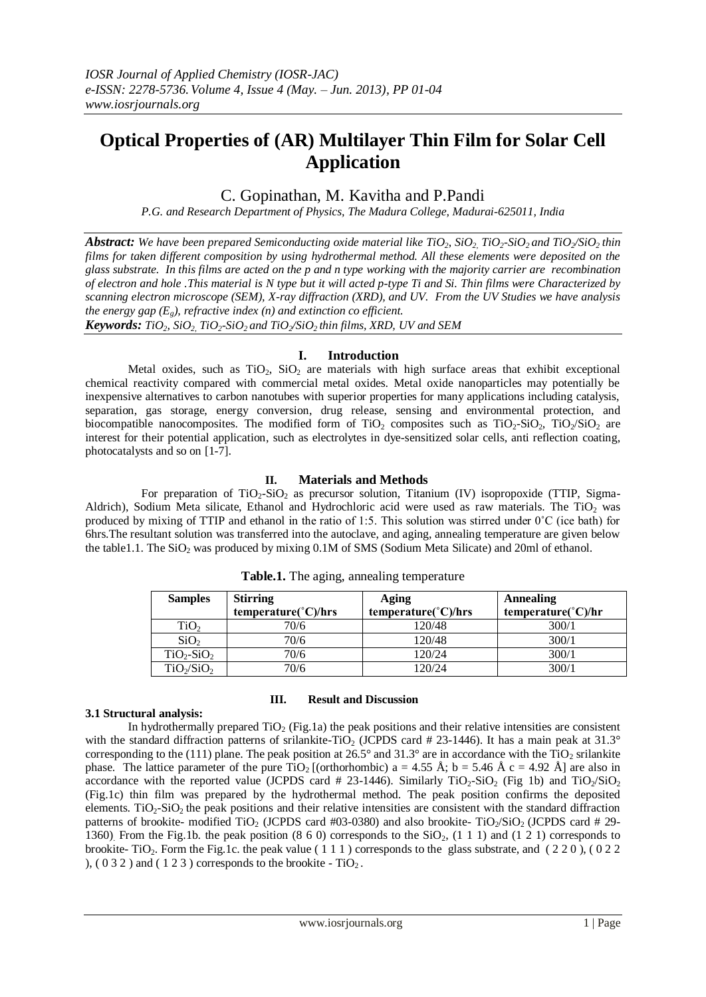# **Optical Properties of (AR) Multilayer Thin Film for Solar Cell Application**

## C. Gopinathan, M. Kavitha and P.Pandi

*P.G. and Research Department of Physics, The Madura College, Madurai-625011, India*

*Abstract: We have been prepared Semiconducting oxide material like TiO2, SiO2, TiO2-SiO2 and TiO2/SiO2 thin films for taken different composition by using hydrothermal method. All these elements were deposited on the glass substrate. In this films are acted on the p and n type working with the majority carrier are recombination of electron and hole .This material is N type but it will acted p-type Ti and Si. Thin films were Characterized by scanning electron microscope (SEM), X-ray diffraction (XRD), and UV. From the UV Studies we have analysis the energy gap*  $(E_e)$ , refractive index  $(n)$  and extinction co efficient.

*Keywords: TiO2, SiO2, TiO2-SiO2 and TiO2/SiO2 thin films, XRD, UV and SEM*

#### **I. Introduction**

Metal oxides, such as  $TiO<sub>2</sub>$ ,  $SiO<sub>2</sub>$  are materials with high surface areas that exhibit exceptional chemical reactivity compared with commercial metal oxides. Metal oxide nanoparticles may potentially be inexpensive alternatives to carbon nanotubes with superior properties for many applications including catalysis, separation, gas storage, energy conversion, drug release, sensing and environmental protection, and biocompatible nanocomposites. The modified form of  $TiO<sub>2</sub>$  composites such as  $TiO<sub>2</sub>-SiO<sub>2</sub>$ ,  $TiO<sub>2</sub>/SiO<sub>2</sub>$  are interest for their potential application, such as electrolytes in dye-sensitized solar cells, anti reflection coating, photocatalysts and so on [1-7].

#### **II. Materials and Methods**

For preparation of  $TiO<sub>2</sub>-SiO<sub>2</sub>$  as precursor solution, Titanium (IV) isopropoxide (TTIP, Sigma-Aldrich), Sodium Meta silicate, Ethanol and Hydrochloric acid were used as raw materials. The TiO<sub>2</sub> was produced by mixing of TTIP and ethanol in the ratio of 1:5. This solution was stirred under 0˚C (ice bath) for 6hrs.The resultant solution was transferred into the autoclave, and aging, annealing temperature are given below the table1.1. The  $SiO<sub>2</sub>$  was produced by mixing 0.1M of SMS (Sodium Meta Silicate) and 20ml of ethanol.

| <b>Samples</b>                     | <b>Stirring</b>              | Aging                        | <b>Annealing</b>              |  |
|------------------------------------|------------------------------|------------------------------|-------------------------------|--|
|                                    | $temperature(^{\circ}C)/hrs$ | $temperature(^{\circ}C)/hrs$ | temperature( $^{\circ}$ C)/hr |  |
| TiO <sub>2</sub>                   | 70/6                         | 120/48                       | 300/1                         |  |
| SiO <sub>2</sub>                   | 70/6                         | 120/48                       | 300/1                         |  |
| $TiO2-SiO2$                        | 70/6                         | 120/24                       | 300/1                         |  |
| TiO <sub>2</sub> /SiO <sub>2</sub> | 70/6                         | 120/24                       | 300/1                         |  |

|  | Table.1. The aging, annealing temperature |
|--|-------------------------------------------|
|  |                                           |

#### **III. Result and Discussion**

#### **3.1 Structural analysis:**

In hydrothermally prepared  $TiO<sub>2</sub>$  (Fig.1a) the peak positions and their relative intensities are consistent with the standard diffraction patterns of srilankite-TiO<sub>2</sub> (JCPDS card # 23-1446). It has a main peak at 31.3° corresponding to the (111) plane. The peak position at 26.5° and 31.3° are in accordance with the TiO<sub>2</sub> srilankite phase. The lattice parameter of the pure TiO<sub>2</sub> [(orthorhombic) a = 4.55 Å; b = 5.46 Å c = 4.92 Å] are also in accordance with the reported value (JCPDS card # 23-1446). Similarly  $TiO_2$ -SiO<sub>2</sub> (Fig 1b) and  $TiO_2/SiO_2$ (Fig.1c) thin film was prepared by the hydrothermal method. The peak position confirms the deposited elements.  $TiO<sub>2</sub>-SiO<sub>2</sub>$  the peak positions and their relative intensities are consistent with the standard diffraction patterns of brookite- modified TiO<sub>2</sub> (JCPDS card #03-0380) and also brookite- TiO<sub>2</sub>/SiO<sub>2</sub> (JCPDS card # 29-1360). From the Fig.1b. the peak position  $(8\ 6\ 0)$  corresponds to the SiO<sub>2</sub>,  $(1\ 1\ 1)$  and  $(1\ 2\ 1)$  corresponds to brookite- TiO<sub>2</sub>. Form the Fig.1c. the peak value ( $111$ ) corresponds to the glass substrate, and ( $220$ ), ( $022$ ),  $(032)$  and  $(123)$  corresponds to the brookite - TiO<sub>2</sub>.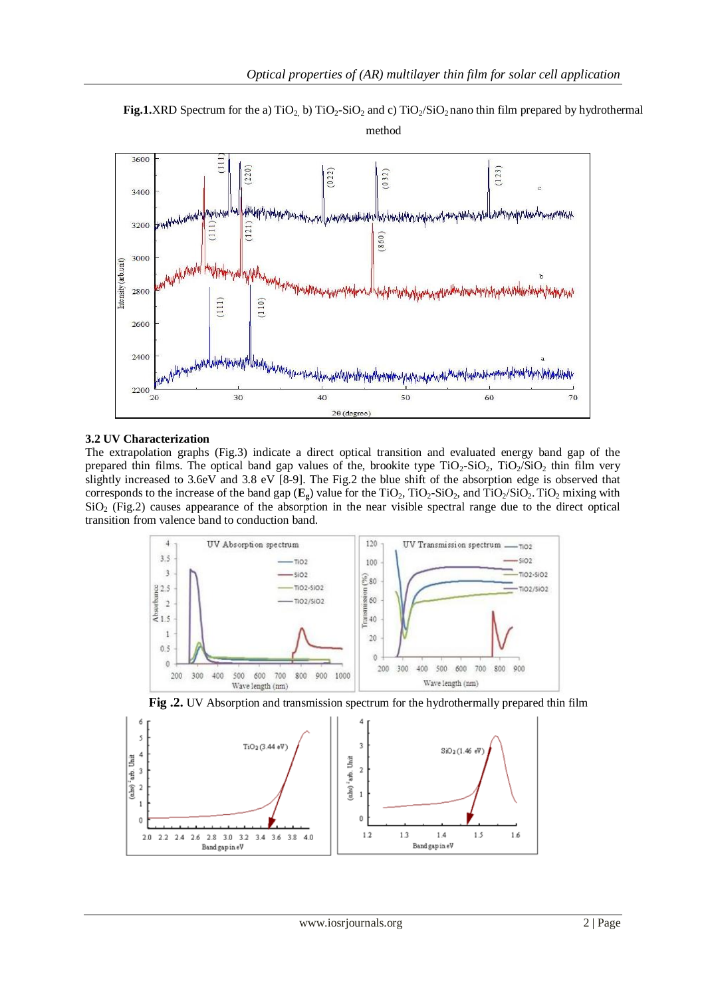



### **3.2 UV Characterization**

The extrapolation graphs (Fig.3) indicate a direct optical transition and evaluated energy band gap of the prepared thin films. The optical band gap values of the, brookite type  $TiO_2-SiO_2$ ,  $TiO_2/SiO_2$  thin film very slightly increased to 3.6eV and 3.8 eV [8-9]. The Fig.2 the blue shift of the absorption edge is observed that corresponds to the increase of the band gap  $(\mathbf{E}_{g})$  value for the TiO<sub>2</sub>, TiO<sub>2</sub>-SiO<sub>2</sub>, and TiO<sub>2</sub>/SiO<sub>2</sub>. TiO<sub>2</sub> mixing with SiO<sub>2</sub> (Fig.2) causes appearance of the absorption in the near visible spectral range due to the direct optical transition from valence band to conduction band.





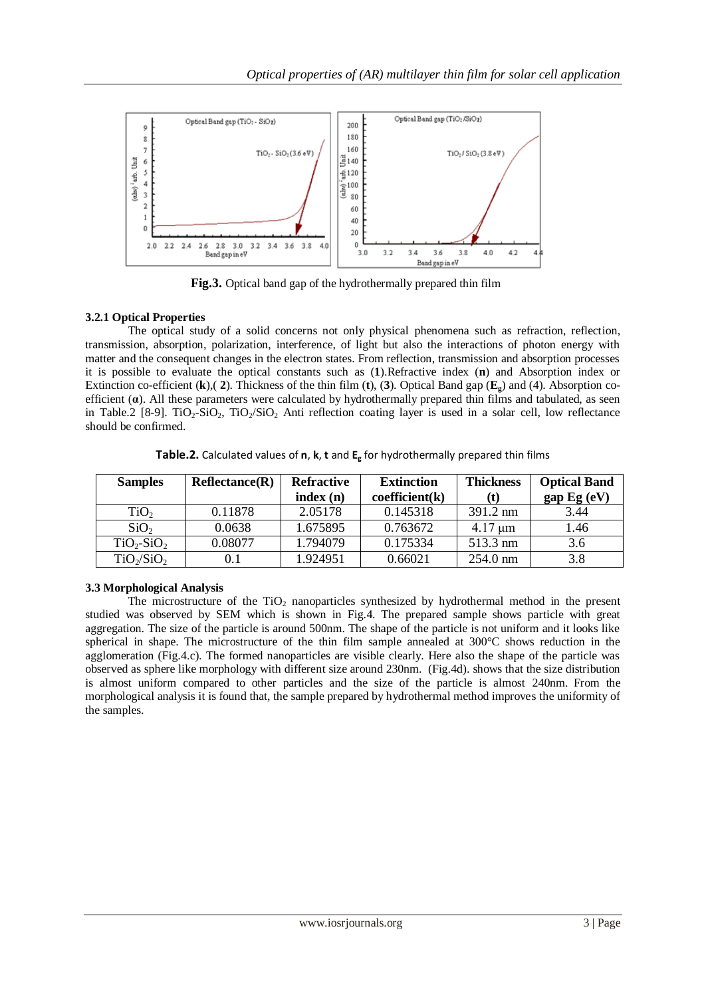

**Fig.3.** Optical band gap of the hydrothermally prepared thin film

## **3.2.1 Optical Properties**

The optical study of a solid concerns not only physical phenomena such as refraction, reflection, transmission, absorption, polarization, interference, of light but also the interactions of photon energy with matter and the consequent changes in the electron states. From reflection, transmission and absorption processes it is possible to evaluate the optical constants such as (**1**).Refractive index (**n**) and Absorption index or Extinction co-efficient (**k**),( **2**). Thickness of the thin film (**t**), (**3**). Optical Band gap (**Eg**) and (4). Absorption coefficient (**α**). All these parameters were calculated by hydrothermally prepared thin films and tabulated, as seen in Table.2 [8-9]. TiO<sub>2</sub>-SiO<sub>2</sub>, TiO<sub>2</sub>/SiO<sub>2</sub> Anti reflection coating layer is used in a solar cell, low reflectance should be confirmed.

| <b>Samples</b>   | Reflectance(R) | <b>Refractive</b> | <b>Extinction</b> | <b>Thickness</b>   | <b>Optical Band</b> |
|------------------|----------------|-------------------|-------------------|--------------------|---------------------|
|                  |                | index(n)          | coefficient(k)    | (t)                | gap Eg (eV)         |
| TiO <sub>2</sub> | 0.11878        | 2.05178           | 0.145318          | $391.2 \text{ nm}$ | 3.44                |
| SiO <sub>2</sub> | 0.0638         | 1.675895          | 0.763672          | $4.17 \mu m$       | 1.46                |
| $TiO2-SiO2$      | 0.08077        | 1.794079          | 0.175334          | 513.3 nm           | 3.6                 |
| $TiO_2/SiO_2$    | 0.1            | 1.924951          | 0.66021           | $254.0 \text{ nm}$ | 3.8                 |

**Table.2.** Calculated values of **n**, **k**, **t** and **E<sup>g</sup>** for hydrothermally prepared thin films

## **3.3 Morphological Analysis**

The microstructure of the  $TiO<sub>2</sub>$  nanoparticles synthesized by hydrothermal method in the present studied was observed by SEM which is shown in Fig.4. The prepared sample shows particle with great aggregation. The size of the particle is around 500nm. The shape of the particle is not uniform and it looks like spherical in shape. The microstructure of the thin film sample annealed at 300°C shows reduction in the agglomeration (Fig.4.c). The formed nanoparticles are visible clearly. Here also the shape of the particle was observed as sphere like morphology with different size around 230nm. (Fig.4d). shows that the size distribution is almost uniform compared to other particles and the size of the particle is almost 240nm. From the morphological analysis it is found that, the sample prepared by hydrothermal method improves the uniformity of the samples.